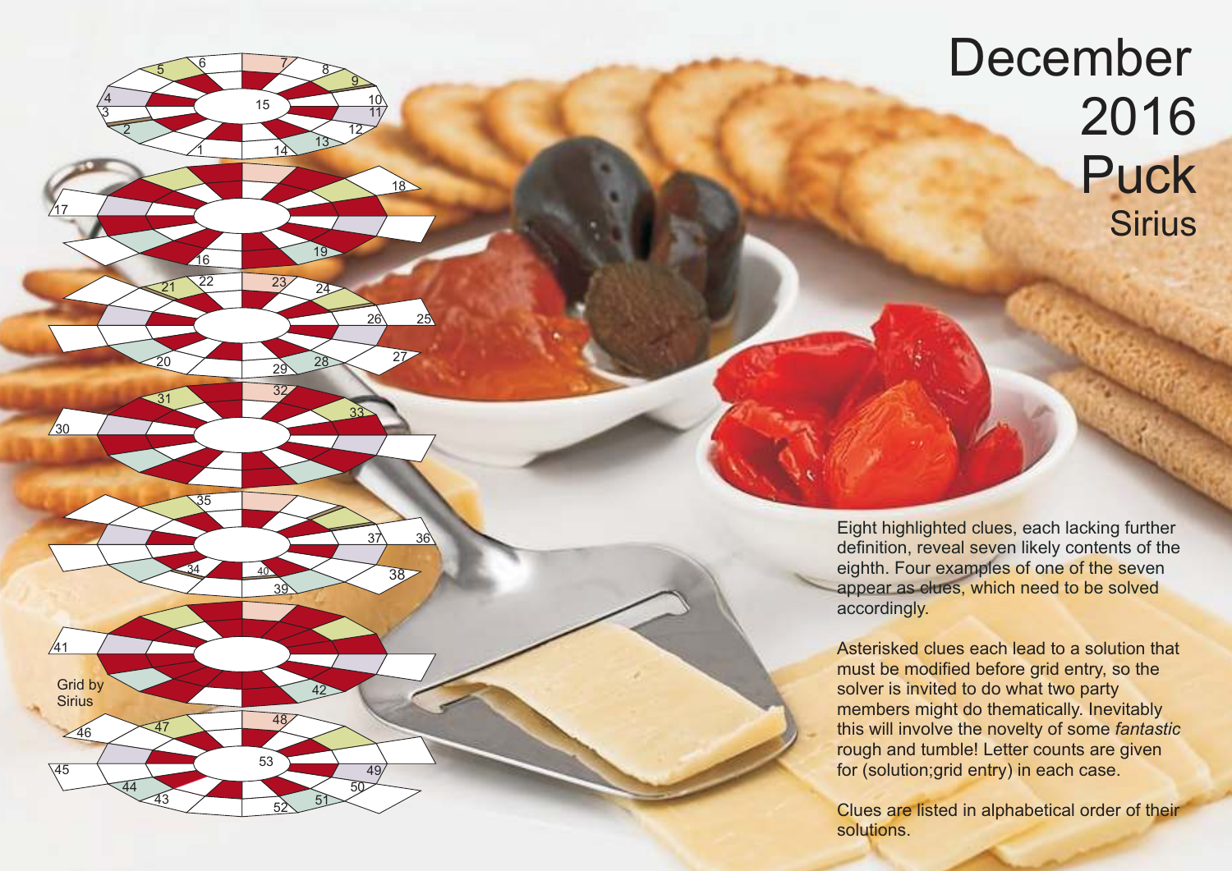## December 2016 Puck **Sirius**

Eight highlighted clues, each lacking further definition, reveal seven likely contents of the eighth. Four examples of one of the seven appear as clues, which need to be solved accordingly.

 $\overline{1}$ 

 $\underline{16}$ 

<sup>21</sup> <sup>22</sup> <sup>23</sup> <sup>24</sup>

<sup>31</sup> <sup>32</sup>

34

43

<sup>46</sup> <sup>47</sup> <sup>48</sup>

44

39 40

42

<sup>49</sup> <sup>53</sup>

50

 $\frac{52}{52}$  51

35

20

6

7

15

14 13

19

<sup>27</sup> <sup>28</sup> <sup>29</sup>

33

8

<u>ପ</u>  $\frac{10}{1}$ 11 12

 $18$ 

 $26 \times 25$ 

 $37 \times 36$ 

38

2

5

 $\frac{4}{3}$ 

17

 $\sqrt{30}$ 

 $/41$ 

Grid by **Sirius** 

45

Asterisked clues each lead to a solution that must be modified before grid entry, so the solver is invited to do what two party members might do thematically. Inevitably this will involve the novelty of some *fantastic* rough and tumble! Letter counts are given for (solution;grid entry) in each case.

Clues are listed in alphabetical order of their solutions.